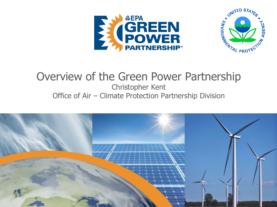



#### Overview of the Green Power Partnership Christopher Kent Office of Air – Climate Protection Partnership Division

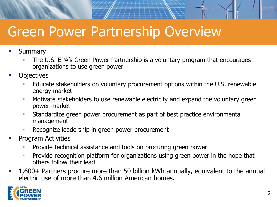# Green Power Partnership Overview

- **■** Summary
	- The U.S. EPA's Green Power Partnership is a voluntary program that encourages organizations to use green power
- **Objectives** 
	- Educate stakeholders on voluntary procurement options within the U.S. renewable energy market
	- **■** Motivate stakeholders to use renewable electricity and expand the voluntary green power market
	- **EXEDEE FIGHT Standardize green power procurement as part of best practice environmental** management
	- **EXECOGNIZE leadership in green power procurement**
- **Program Activities** 
	- Provide technical assistance and tools on procuring green power
	- **Provide recognition platform for organizations using green power in the hope that** others follow their lead
- 1,600+ Partners procure more than 50 billion kWh annually, equivalent to the annual electric use of more than 4.6 million American homes.

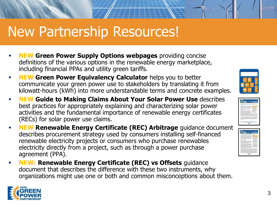## New Partnership Resources!

- **NEW Green Power Supply Options webpages** providing concise definitions of the various options in the renewable energy marketplace, including financial PPAs and utility green tariffs.
- **EXEG FORM** Green Power Equivalency Calculator helps you to better communicate your green power use to stakeholders by translating it from kilowatt-hours (kWh) into more understandable terms and concrete examples.
- **NEW Guide to Making Claims About Your Solar Power Use** describes best practices for appropriately explaining and characterizing solar power activities and the fundamental importance of renewable energy certificates (RECs) for solar power use claims.
- **EREAPPE Arrow Prenewable Energy Certificate (REC) Arbitrage** guidance document describes procurement strategy used by consumers installing self-financed renewable electricity projects or consumers who purchase renewables electricity directly from a project, such as through a power purchase agreement (PPA).
- **NEW: Renewable Energy Certificate (REC) vs Offsets** guidance document that describes the difference with these two instruments, why organizations might use one or both and common misconceptions about them.







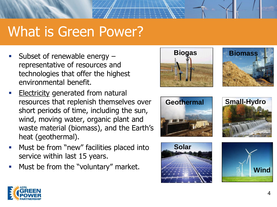## What is Green Power?

- Subset of renewable energy  $$ representative of resources and technologies that offer the highest environmental benefit.
- **Electricity generated from natural** resources that replenish themselves over short periods of time, including the sun, wind, moving water, organic plant and waste material (biomass), and the Earth's heat (geothermal).
- Must be from "new" facilities placed into service within last 15 years.
- **■** Must be from the "voluntary" market.











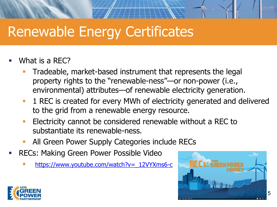# Renewable Energy Certificates

- What is a REC?
	- Tradeable, market-based instrument that represents the legal property rights to the "renewable-ness"—or non-power (i.e., environmental) attributes—of renewable electricity generation.
	- **1 REC is created for every MWh of electricity generated and delivered** to the grid from a renewable energy resource.
	- **Electricity cannot be considered renewable without a REC to** substantiate its renewable-ness.
	- All Green Power Supply Categories include RECs
- RECs: Making Green Power Possible Video
	- https://www.youtube.com/watch?v=\_12VYXms6-c



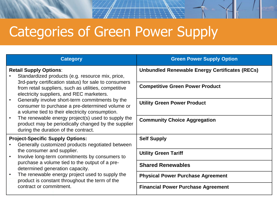# Categories of Green Power Supply

| <b>Category</b>                                                                                                                                                                                                                                                                                                                                                                                                                                                                                                                                                | <b>Green Power Supply Option</b>                      |
|----------------------------------------------------------------------------------------------------------------------------------------------------------------------------------------------------------------------------------------------------------------------------------------------------------------------------------------------------------------------------------------------------------------------------------------------------------------------------------------------------------------------------------------------------------------|-------------------------------------------------------|
| <b>Retail Supply Options:</b><br>Standardized products (e.g. resource mix, price,<br>3rd-party certification status) for sale to consumers<br>from retail suppliers, such as utilities, competitive<br>electricity suppliers, and REC marketers.<br>Generally involve short-term commitments by the<br>consumer to purchase a pre-determined volume or<br>a volume tied to their electricity consumption.<br>The renewable energy project(s) used to supply the<br>product may be periodically changed by the supplier<br>during the duration of the contract. | <b>Unbundled Renewable Energy Certificates (RECs)</b> |
|                                                                                                                                                                                                                                                                                                                                                                                                                                                                                                                                                                | <b>Competitive Green Power Product</b>                |
|                                                                                                                                                                                                                                                                                                                                                                                                                                                                                                                                                                | <b>Utility Green Power Product</b>                    |
|                                                                                                                                                                                                                                                                                                                                                                                                                                                                                                                                                                | <b>Community Choice Aggregation</b>                   |
| <b>Project-Specific Supply Options:</b><br>Generally customized products negotiated between                                                                                                                                                                                                                                                                                                                                                                                                                                                                    | <b>Self Supply</b>                                    |
| the consumer and supplier.<br>Involve long-term commitments by consumers to<br>purchase a volume tied to the output of a pre-<br>determined generation capacity.<br>The renewable energy project used to supply the<br>$\bullet$<br>product is constant throughout the term of the<br>contract or commitment.                                                                                                                                                                                                                                                  | <b>Utility Green Tariff</b>                           |
|                                                                                                                                                                                                                                                                                                                                                                                                                                                                                                                                                                | <b>Shared Renewables</b>                              |
|                                                                                                                                                                                                                                                                                                                                                                                                                                                                                                                                                                | <b>Physical Power Purchase Agreement</b>              |
|                                                                                                                                                                                                                                                                                                                                                                                                                                                                                                                                                                | <b>Financial Power Purchase Agreement</b>             |

 $\#$  and  $\#$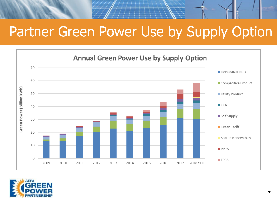## Partner Green Power Use by Supply Option